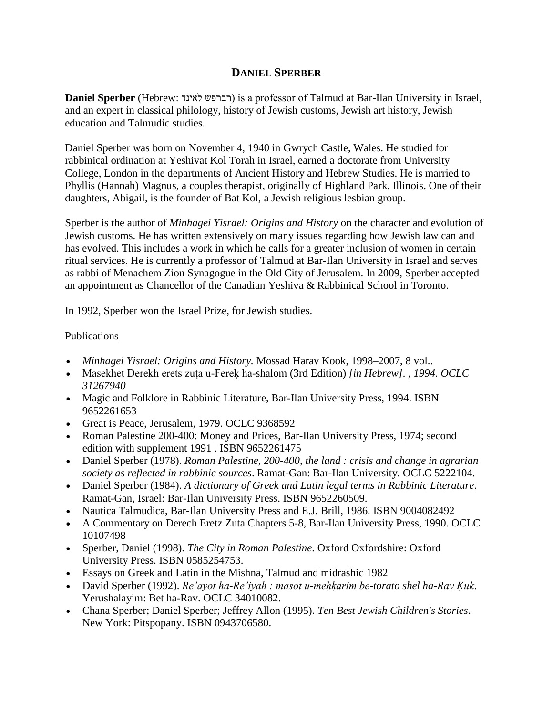## **DANIEL SPERBER**

**Daniel Sperber** (Hebrew: לאינד רברפש (is a professor of [Talmud](http://en.wikipedia.org/wiki/Talmud) at [Bar-Ilan University](http://en.wikipedia.org/wiki/Bar-Ilan_University) in [Israel,](http://en.wikipedia.org/wiki/Israel) and an expert in [classical philology,](http://en.wikipedia.org/wiki/Classical_philology) history of [Jewish customs,](http://en.wikipedia.org/wiki/Minhag) Jewish art history, Jewish education and Talmudic studies.

Daniel Sperber was born on November 4, 1940 in [Gwrych Castle,](http://en.wikipedia.org/wiki/Gwrych_Castle) [Wales.](http://en.wikipedia.org/wiki/Wales) He studied for [rabbinical ordination](http://en.wikipedia.org/wiki/Semicha) at Yeshivat [Kol Torah](http://en.wikipedia.org/wiki/Kol_Torah) in Israel, earned a doctorate from [University](http://en.wikipedia.org/wiki/University_College,_London)  [College, London](http://en.wikipedia.org/wiki/University_College,_London) in the departments of Ancient History and Hebrew Studies. He is married to Phyllis (Hannah) Magnus, a couples therapist, originally of [Highland Park, Illinois.](http://en.wikipedia.org/wiki/Highland_Park,_Illinois) One of their daughters, Abigail, is the founder of Bat Kol, a Jewish religious lesbian group.

Sperber is the author of *Minhagei Yisrael: Origins and History* on the character and evolution of [Jewish customs.](http://en.wikipedia.org/wiki/Minhag) He has written extensively on many issues regarding how Jewish law can and has evolved. This includes a work in which he calls for a greater inclusion of women in certain ritual services. He is currently a professor of Talmud at Bar-Ilan University in Israel and serves as rabbi of [Menachem Zion](http://en.wikipedia.org/wiki/Menachem_Zion) Synagogue in the [Old City of Jerusalem.](http://en.wikipedia.org/wiki/Old_City_of_Jerusalem) In 2009, Sperber accepted an appointment as Chancellor of the [Canadian Yeshiva & Rabbinical School](http://en.wikipedia.org/wiki/Canadian_Yeshiva_%26_Rabbinical_School) in Toronto.

In 1992, Sperber won the [Israel Prize,](http://en.wikipedia.org/wiki/Israel_Prize) for Jewish studies.

## Publications

- *Minhagei Yisrael: Origins and History.* Mossad Harav Kook, 1998–2007, 8 vol..
- Masekhet Derekh erets zuṭa u-Fereḳ ha-shalom (3rd Edition) *[in Hebrew]. , 1994. [OCLC](http://en.wikipedia.org/wiki/Online_Computer_Library_Center) [31267940](http://www.worldcat.org/oclc/31267940)*
- Magic and Folklore in Rabbinic Literature, Bar-Ilan University Press, 1994. [ISBN](http://en.wikipedia.org/wiki/Special:BookSources/9652261653)  [9652261653](http://en.wikipedia.org/wiki/Special:BookSources/9652261653)
- Great is Peace, Jerusalem, 1979. [OCLC](http://en.wikipedia.org/wiki/Online_Computer_Library_Center) [9368592](http://www.worldcat.org/oclc/9368592)
- Roman Palestine 200-400: Money and Prices, Bar-Ilan University Press, 1974; second edition with supplement 1991 . [ISBN 9652261475](http://en.wikipedia.org/wiki/Special:BookSources/9652261475)
- Daniel Sperber (1978). *Roman Palestine, 200-400, the land : crisis and change in agrarian society as reflected in rabbinic sources*. Ramat-Gan: Bar-Ilan University. [OCLC](http://en.wikipedia.org/wiki/Online_Computer_Library_Center) [5222104.](http://www.worldcat.org/oclc/5222104)
- Daniel Sperber (1984). *A dictionary of Greek and Latin legal terms in Rabbinic Literature*. [Ramat-Gan,](http://en.wikipedia.org/wiki/Ramat-Gan) Israel: Bar-Ilan University Press. [ISBN](http://en.wikipedia.org/wiki/International_Standard_Book_Number) [9652260509.](http://en.wikipedia.org/wiki/Special:BookSources/9652260509)
- Nautica Talmudica, Bar-Ilan University Press and E.J. Brill, 1986. [ISBN 9004082492](http://en.wikipedia.org/wiki/Special:BookSources/9004082492)
- A Commentary on [Derech Eretz Zuta](http://en.wikipedia.org/wiki/Derech_Eretz_Zuta) Chapters 5-8, Bar-Ilan University Press, 1990. [OCLC](http://en.wikipedia.org/wiki/Online_Computer_Library_Center) [10107498](http://www.worldcat.org/oclc/10107498)
- Sperber, Daniel (1998). *The City in Roman Palestine*. Oxford Oxfordshire: Oxford University Press. [ISBN](http://en.wikipedia.org/wiki/International_Standard_Book_Number) [0585254753.](http://en.wikipedia.org/wiki/Special:BookSources/0585254753)
- Essays on Greek and Latin in the Mishna, Talmud and midrashic 1982
- David Sperber (1992). *Re'ayot ha-Re'iyah : masot u-mehkarim be-torato shel ha-Rav Kuk.* Yerushalayim: Bet ha-Rav. [OCLC](http://en.wikipedia.org/wiki/Online_Computer_Library_Center) [34010082.](http://www.worldcat.org/oclc/34010082)
- Chana Sperber; Daniel Sperber; Jeffrey Allon (1995). *Ten Best Jewish Children's Stories*. New York: Pitspopany. [ISBN](http://en.wikipedia.org/wiki/International_Standard_Book_Number) [0943706580.](http://en.wikipedia.org/wiki/Special:BookSources/0943706580)